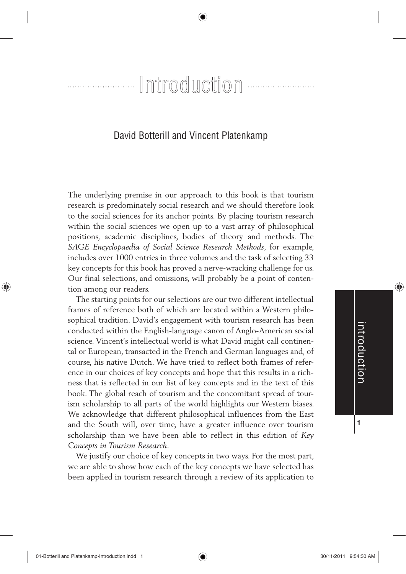## 

### David Botterill and Vincent Platenkamp

The underlying premise in our approach to this book is that tourism research is predominately social research and we should therefore look to the social sciences for its anchor points. By placing tourism research within the social sciences we open up to a vast array of philosophical positions, academic disciplines, bodies of theory and methods. The *SAGE Encyclopaedia of Social Science Research Methods*, for example, includes over 1000 entries in three volumes and the task of selecting 33 key concepts for this book has proved a nerve-wracking challenge for us. Our final selections, and omissions, will probably be a point of contention among our readers.

The starting points for our selections are our two different intellectual frames of reference both of which are located within a Western philosophical tradition. David's engagement with tourism research has been conducted within the English-language canon of Anglo-American social science. Vincent's intellectual world is what David might call continental or European, transacted in the French and German languages and, of course, his native Dutch. We have tried to reflect both frames of reference in our choices of key concepts and hope that this results in a richness that is reflected in our list of key concepts and in the text of this book. The global reach of tourism and the concomitant spread of tourism scholarship to all parts of the world highlights our Western biases. We acknowledge that different philosophical influences from the East and the South will, over time, have a greater influence over tourism scholarship than we have been able to reflect in this edition of *Key Concepts in Tourism Research*.

We justify our choice of key concepts in two ways. For the most part, we are able to show how each of the key concepts we have selected has been applied in tourism research through a review of its application to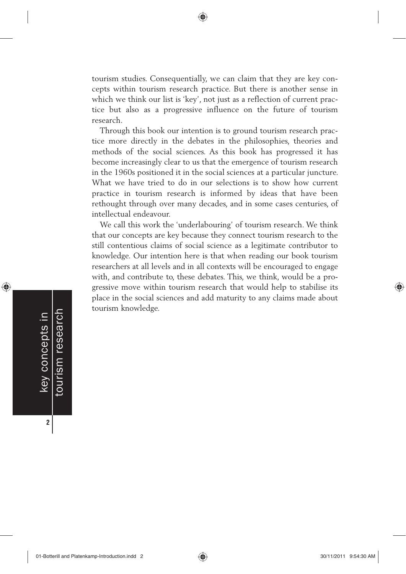tourism studies. Consequentially, we can claim that they are key concepts within tourism research practice. But there is another sense in which we think our list is 'key', not just as a reflection of current practice but also as a progressive influence on the future of tourism research.

Through this book our intention is to ground tourism research practice more directly in the debates in the philosophies, theories and methods of the social sciences. As this book has progressed it has become increasingly clear to us that the emergence of tourism research in the 1960s positioned it in the social sciences at a particular juncture. What we have tried to do in our selections is to show how current practice in tourism research is informed by ideas that have been rethought through over many decades, and in some cases centuries, of intellectual endeavour.

We call this work the 'underlabouring' of tourism research. We think that our concepts are key because they connect tourism research to the still contentious claims of social science as a legitimate contributor to knowledge. Our intention here is that when reading our book tourism researchers at all levels and in all contexts will be encouraged to engage with, and contribute to, these debates. This, we think, would be a progressive move within tourism research that would help to stabilise its place in the social sciences and add maturity to any claims made about tourism knowledge.

tourism research key concepts in tourism research key concepts in

⊕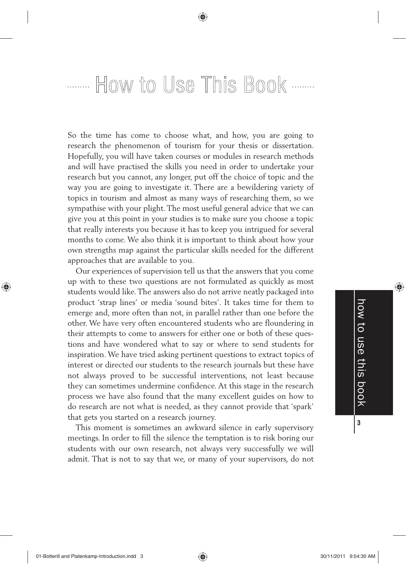# ........ How to Use This Book .......

So the time has come to choose what, and how, you are going to research the phenomenon of tourism for your thesis or dissertation. Hopefully, you will have taken courses or modules in research methods and will have practised the skills you need in order to undertake your research but you cannot, any longer, put off the choice of topic and the way you are going to investigate it. There are a bewildering variety of topics in tourism and almost as many ways of researching them, so we sympathise with your plight. The most useful general advice that we can give you at this point in your studies is to make sure you choose a topic that really interests you because it has to keep you intrigued for several months to come. We also think it is important to think about how your own strengths map against the particular skills needed for the different approaches that are available to you.

Our experiences of supervision tell us that the answers that you come up with to these two questions are not formulated as quickly as most students would like. The answers also do not arrive neatly packaged into product 'strap lines' or media 'sound bites'. It takes time for them to emerge and, more often than not, in parallel rather than one before the other. We have very often encountered students who are floundering in their attempts to come to answers for either one or both of these questions and have wondered what to say or where to send students for inspiration. We have tried asking pertinent questions to extract topics of interest or directed our students to the research journals but these have not always proved to be successful interventions, not least because they can sometimes undermine confidence. At this stage in the research process we have also found that the many excellent guides on how to do research are not what is needed, as they cannot provide that 'spark' that gets you started on a research journey.

This moment is sometimes an awkward silence in early supervisory meetings. In order to fill the silence the temptation is to risk boring our students with our own research, not always very successfully we will admit. That is not to say that we, or many of your supervisors, do not ◈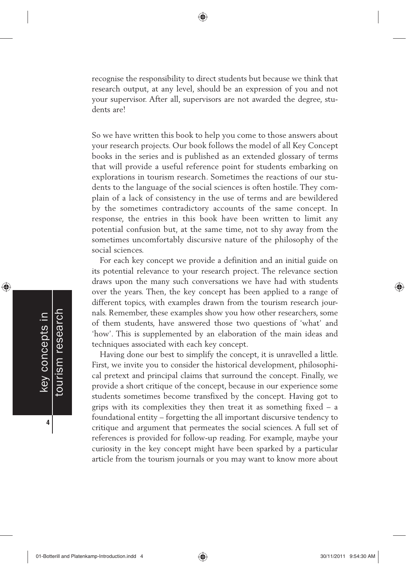recognise the responsibility to direct students but because we think that research output, at any level, should be an expression of you and not your supervisor. After all, supervisors are not awarded the degree, students are!

So we have written this book to help you come to those answers about your research projects. Our book follows the model of all Key Concept books in the series and is published as an extended glossary of terms that will provide a useful reference point for students embarking on explorations in tourism research. Sometimes the reactions of our students to the language of the social sciences is often hostile. They complain of a lack of consistency in the use of terms and are bewildered by the sometimes contradictory accounts of the same concept. In response, the entries in this book have been written to limit any potential confusion but, at the same time, not to shy away from the sometimes uncomfortably discursive nature of the philosophy of the social sciences.

For each key concept we provide a definition and an initial guide on its potential relevance to your research project. The relevance section draws upon the many such conversations we have had with students over the years. Then, the key concept has been applied to a range of different topics, with examples drawn from the tourism research journals. Remember, these examples show you how other researchers, some of them students, have answered those two questions of 'what' and 'how'. This is supplemented by an elaboration of the main ideas and techniques associated with each key concept.

Having done our best to simplify the concept, it is unravelled a little. First, we invite you to consider the historical development, philosophical pretext and principal claims that surround the concept. Finally, we provide a short critique of the concept, because in our experience some students sometimes become transfixed by the concept. Having got to grips with its complexities they then treat it as something fixed – a foundational entity – forgetting the all important discursive tendency to critique and argument that permeates the social sciences. A full set of references is provided for follow-up reading. For example, maybe your curiosity in the key concept might have been sparked by a particular article from the tourism journals or you may want to know more about

⊕

**4**

♠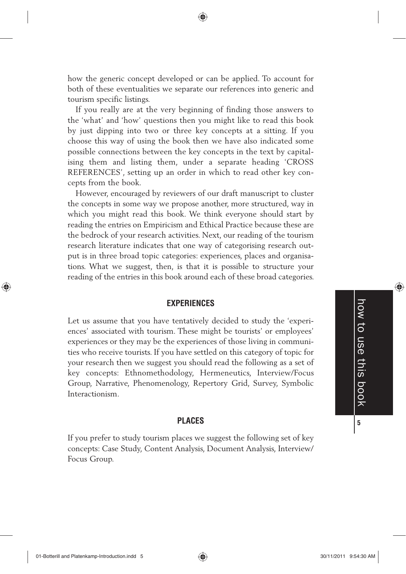how the generic concept developed or can be applied. To account for both of these eventualities we separate our references into generic and tourism specific listings.

If you really are at the very beginning of finding those answers to the 'what' and 'how' questions then you might like to read this book by just dipping into two or three key concepts at a sitting. If you choose this way of using the book then we have also indicated some possible connections between the key concepts in the text by capitalising them and listing them, under a separate heading 'CROSS REFERENCES', setting up an order in which to read other key concepts from the book.

However, encouraged by reviewers of our draft manuscript to cluster the concepts in some way we propose another, more structured, way in which you might read this book. We think everyone should start by reading the entries on Empiricism and Ethical Practice because these are the bedrock of your research activities. Next, our reading of the tourism research literature indicates that one way of categorising research output is in three broad topic categories: experiences, places and organisations. What we suggest, then, is that it is possible to structure your reading of the entries in this book around each of these broad categories.

### **EXPERIENCES**

Let us assume that you have tentatively decided to study the 'experiences' associated with tourism. These might be tourists' or employees' experiences or they may be the experiences of those living in communities who receive tourists. If you have settled on this category of topic for your research then we suggest you should read the following as a set of key concepts: Ethnomethodology, Hermeneutics, Interview/Focus Group, Narrative, Phenomenology, Repertory Grid, Survey, Symbolic Interactionism.

#### **PLACES**

If you prefer to study tourism places we suggest the following set of key concepts: Case Study, Content Analysis, Document Analysis, Interview/ Focus Group.

⊕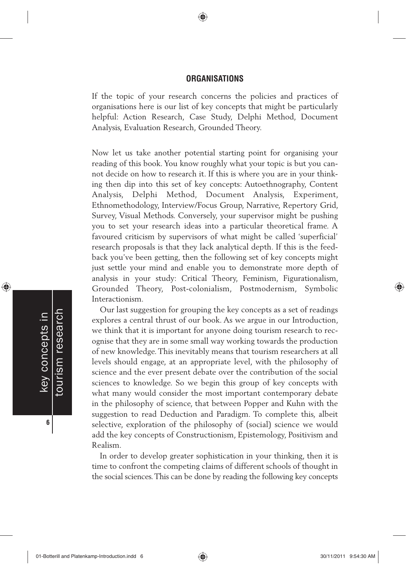#### **ORGANISATIONS**

If the topic of your research concerns the policies and practices of organisations here is our list of key concepts that might be particularly helpful: Action Research, Case Study, Delphi Method, Document Analysis, Evaluation Research, Grounded Theory.

Now let us take another potential starting point for organising your reading of this book. You know roughly what your topic is but you cannot decide on how to research it. If this is where you are in your thinking then dip into this set of key concepts: Autoethnography, Content Analysis, Delphi Method, Document Analysis, Experiment, Ethnomethodology, Interview/Focus Group, Narrative, Repertory Grid, Survey, Visual Methods. Conversely, your supervisor might be pushing you to set your research ideas into a particular theoretical frame. A favoured criticism by supervisors of what might be called 'superficial' research proposals is that they lack analytical depth. If this is the feedback you've been getting, then the following set of key concepts might just settle your mind and enable you to demonstrate more depth of analysis in your study: Critical Theory, Feminism, Figurationalism, Grounded Theory, Post-colonialism, Postmodernism, Symbolic Interactionism.

Our last suggestion for grouping the key concepts as a set of readings explores a central thrust of our book. As we argue in our Introduction, we think that it is important for anyone doing tourism research to recognise that they are in some small way working towards the production of new knowledge. This inevitably means that tourism researchers at all levels should engage, at an appropriate level, with the philosophy of science and the ever present debate over the contribution of the social sciences to knowledge. So we begin this group of key concepts with what many would consider the most important contemporary debate in the philosophy of science, that between Popper and Kuhn with the suggestion to read Deduction and Paradigm. To complete this, albeit selective, exploration of the philosophy of (social) science we would add the key concepts of Constructionism, Epistemology, Positivism and Realism.

In order to develop greater sophistication in your thinking, then it is time to confront the competing claims of different schools of thought in the social sciences. This can be done by reading the following key concepts

⊕

♠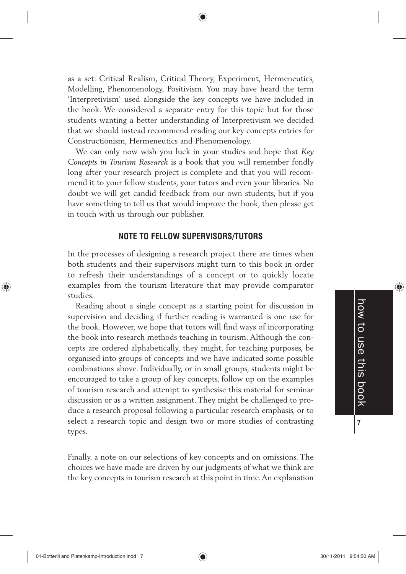as a set: Critical Realism, Critical Theory, Experiment, Hermeneutics, Modelling, Phenomenology, Positivism. You may have heard the term 'Interpretivism' used alongside the key concepts we have included in the book. We considered a separate entry for this topic but for those students wanting a better understanding of Interpretivism we decided that we should instead recommend reading our key concepts entries for Constructionism, Hermeneutics and Phenomenology.

We can only now wish you luck in your studies and hope that *Key Concepts in Tourism Research* is a book that you will remember fondly long after your research project is complete and that you will recommend it to your fellow students, your tutors and even your libraries. No doubt we will get candid feedback from our own students, but if you have something to tell us that would improve the book, then please get in touch with us through our publisher.

#### **NOTE TO FELLOW SUPERVISORS/TUTORS**

In the processes of designing a research project there are times when both students and their supervisors might turn to this book in order to refresh their understandings of a concept or to quickly locate examples from the tourism literature that may provide comparator studies.

Reading about a single concept as a starting point for discussion in supervision and deciding if further reading is warranted is one use for the book. However, we hope that tutors will find ways of incorporating the book into research methods teaching in tourism. Although the concepts are ordered alphabetically, they might, for teaching purposes, be organised into groups of concepts and we have indicated some possible combinations above. Individually, or in small groups, students might be encouraged to take a group of key concepts, follow up on the examples of tourism research and attempt to synthesise this material for seminar discussion or as a written assignment. They might be challenged to produce a research proposal following a particular research emphasis, or to select a research topic and design two or more studies of contrasting types.

Finally, a note on our selections of key concepts and on omissions. The choices we have made are driven by our judgments of what we think are the key concepts in tourism research at this point in time. An explanation

⊕

01-Botterill and Platenkamp-Introduction.indd 7 30/11/2011 9:54:30 AM